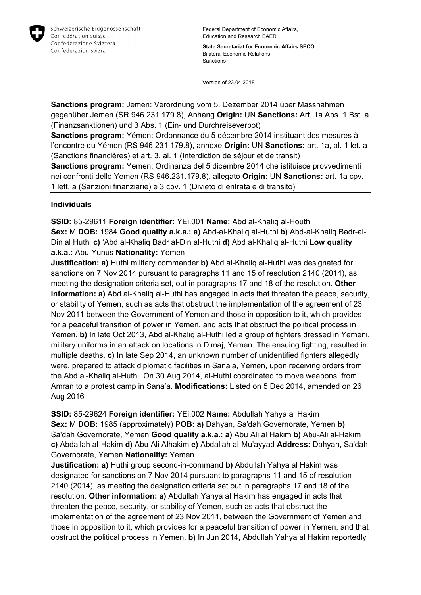

Federal Department of Economic Affairs, Education and Research EAER

**State Secretariat for Economic Affairs SECO** Bilateral Economic Relations Sanctions

Version of 23.04.2018

**Sanctions program:** Jemen: Verordnung vom 5. Dezember 2014 über Massnahmen gegenüber Jemen (SR 946.231.179.8), Anhang **Origin:** UN **Sanctions:** Art. 1a Abs. 1 Bst. a (Finanzsanktionen) und 3 Abs. 1 (Ein- und Durchreiseverbot) **Sanctions program:** Yémen: Ordonnance du 5 décembre 2014 instituant des mesures à l'encontre du Yémen (RS 946.231.179.8), annexe **Origin:** UN **Sanctions:** art. 1a, al. 1 let. a (Sanctions financières) et art. 3, al. 1 (Interdiction de séjour et de transit) **Sanctions program:** Yemen: Ordinanza del 5 dicembre 2014 che istituisce provvedimenti nei confronti dello Yemen (RS 946.231.179.8), allegato **Origin:** UN **Sanctions:** art. 1a cpv. 1 lett. a (Sanzioni finanziarie) e 3 cpv. 1 (Divieto di entrata e di transito)

## **Individuals**

**SSID:** 85-29611 **Foreign identifier:** YEi.001 **Name:** Abd al-Khaliq al-Houthi **Sex:** M **DOB:** 1984 **Good quality a.k.a.: a)** Abd-al-Khaliq al-Huthi **b)** Abd-al-Khaliq Badr-al-Din al Huthi **c)** 'Abd al-Khaliq Badr al-Din al-Huthi **d)** Abd al-Khaliq al-Huthi **Low quality a.k.a.:** Abu-Yunus **Nationality:** Yemen

**Justification: a)** Huthi military commander **b)** Abd al-Khaliq al-Huthi was designated for sanctions on 7 Nov 2014 pursuant to paragraphs 11 and 15 of resolution 2140 (2014), as meeting the designation criteria set, out in paragraphs 17 and 18 of the resolution. **Other information: a)** Abd al-Khaliq al-Huthi has engaged in acts that threaten the peace, security, or stability of Yemen, such as acts that obstruct the implementation of the agreement of 23 Nov 2011 between the Government of Yemen and those in opposition to it, which provides for a peaceful transition of power in Yemen, and acts that obstruct the political process in Yemen. **b)** In late Oct 2013, Abd al-Khaliq al-Huthi led a group of fighters dressed in Yemeni, military uniforms in an attack on locations in Dimaj, Yemen. The ensuing fighting, resulted in multiple deaths. **c)** In late Sep 2014, an unknown number of unidentified fighters allegedly were, prepared to attack diplomatic facilities in Sana'a, Yemen, upon receiving orders from, the Abd al-Khaliq al-Huthi. On 30 Aug 2014, al-Huthi coordinated to move weapons, from Amran to a protest camp in Sana'a. **Modifications:** Listed on 5 Dec 2014, amended on 26 Aug 2016

**SSID:** 85-29624 **Foreign identifier:** YEi.002 **Name:** Abdullah Yahya al Hakim **Sex:** M **DOB:** 1985 (approximately) **POB: a)** Dahyan, Sa'dah Governorate, Yemen **b)**  Sa'dah Governorate, Yemen **Good quality a.k.a.: a)** Abu Ali al Hakim **b)** Abu-Ali al-Hakim **c)** Abdallah al-Hakim **d)** Abu Ali Alhakim **e)** Abdallah al-Mu'ayyad **Address:** Dahyan, Sa'dah Governorate, Yemen **Nationality:** Yemen

**Justification: a)** Huthi group second-in-command **b)** Abdullah Yahya al Hakim was designated for sanctions on 7 Nov 2014 pursuant to paragraphs 11 and 15 of resolution 2140 (2014), as meeting the designation criteria set out in paragraphs 17 and 18 of the resolution. **Other information: a)** Abdullah Yahya al Hakim has engaged in acts that threaten the peace, security, or stability of Yemen, such as acts that obstruct the implementation of the agreement of 23 Nov 2011, between the Government of Yemen and those in opposition to it, which provides for a peaceful transition of power in Yemen, and that obstruct the political process in Yemen. **b)** In Jun 2014, Abdullah Yahya al Hakim reportedly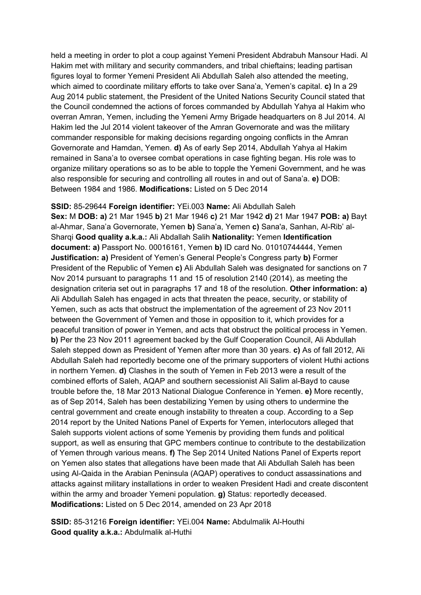held a meeting in order to plot a coup against Yemeni President Abdrabuh Mansour Hadi. Al Hakim met with military and security commanders, and tribal chieftains; leading partisan figures loyal to former Yemeni President Ali Abdullah Saleh also attended the meeting, which aimed to coordinate military efforts to take over Sana'a, Yemen's capital. **c)** In a 29 Aug 2014 public statement, the President of the United Nations Security Council stated that the Council condemned the actions of forces commanded by Abdullah Yahya al Hakim who overran Amran, Yemen, including the Yemeni Army Brigade headquarters on 8 Jul 2014. Al Hakim led the Jul 2014 violent takeover of the Amran Governorate and was the military commander responsible for making decisions regarding ongoing conflicts in the Amran Governorate and Hamdan, Yemen. **d)** As of early Sep 2014, Abdullah Yahya al Hakim remained in Sana'a to oversee combat operations in case fighting began. His role was to organize military operations so as to be able to topple the Yemeni Government, and he was also responsible for securing and controlling all routes in and out of Sana'a. **e)** DOB: Between 1984 and 1986. **Modifications:** Listed on 5 Dec 2014

**SSID:** 85-29644 **Foreign identifier:** YEi.003 **Name:** Ali Abdullah Saleh **Sex:** M **DOB: a)** 21 Mar 1945 **b)** 21 Mar 1946 **c)** 21 Mar 1942 **d)** 21 Mar 1947 **POB: a)** Bayt al-Ahmar, Sana'a Governorate, Yemen **b)** Sana'a, Yemen **c)** Sana'a, Sanhan, Al-Rib' al-Sharqi **Good quality a.k.a.:** Ali Abdallah Salih **Nationality:** Yemen **Identification document: a)** Passport No. 00016161, Yemen **b)** ID card No. 01010744444, Yemen **Justification: a)** President of Yemen's General People's Congress party **b)** Former President of the Republic of Yemen **c)** Ali Abdullah Saleh was designated for sanctions on 7 Nov 2014 pursuant to paragraphs 11 and 15 of resolution 2140 (2014), as meeting the designation criteria set out in paragraphs 17 and 18 of the resolution. **Other information: a)**  Ali Abdullah Saleh has engaged in acts that threaten the peace, security, or stability of Yemen, such as acts that obstruct the implementation of the agreement of 23 Nov 2011 between the Government of Yemen and those in opposition to it, which provides for a peaceful transition of power in Yemen, and acts that obstruct the political process in Yemen. **b)** Per the 23 Nov 2011 agreement backed by the Gulf Cooperation Council, Ali Abdullah Saleh stepped down as President of Yemen after more than 30 years. **c)** As of fall 2012, Ali Abdullah Saleh had reportedly become one of the primary supporters of violent Huthi actions in northern Yemen. **d)** Clashes in the south of Yemen in Feb 2013 were a result of the combined efforts of Saleh, AQAP and southern secessionist Ali Salim al-Bayd to cause trouble before the, 18 Mar 2013 National Dialogue Conference in Yemen. **e)** More recently, as of Sep 2014, Saleh has been destabilizing Yemen by using others to undermine the central government and create enough instability to threaten a coup. According to a Sep 2014 report by the United Nations Panel of Experts for Yemen, interlocutors alleged that Saleh supports violent actions of some Yemenis by providing them funds and political support, as well as ensuring that GPC members continue to contribute to the destabilization of Yemen through various means. **f)** The Sep 2014 United Nations Panel of Experts report on Yemen also states that allegations have been made that Ali Abdullah Saleh has been using Al-Qaida in the Arabian Peninsula (AQAP) operatives to conduct assassinations and attacks against military installations in order to weaken President Hadi and create discontent within the army and broader Yemeni population. **g)** Status: reportedly deceased. **Modifications:** Listed on 5 Dec 2014, amended on 23 Apr 2018

**SSID:** 85-31216 **Foreign identifier:** YEi.004 **Name:** Abdulmalik Al-Houthi **Good quality a.k.a.:** Abdulmalik al-Huthi